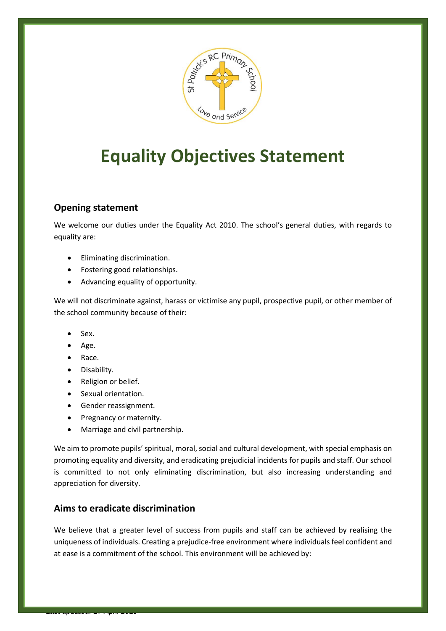

# **Equality Objectives Statement**

## **Opening statement**

We welcome our duties under the Equality Act 2010. The school's general duties, with regards to equality are:

- Eliminating discrimination.
- Fostering good relationships.
- Advancing equality of opportunity.

We will not discriminate against, harass or victimise any pupil, prospective pupil, or other member of the school community because of their:

- Sex.
- Age.
- Race.
- Disability.

Last updated: 17 April 2019

- Religion or belief.
- Sexual orientation.
- **•** Gender reassignment.
- Pregnancy or maternity.
- Marriage and civil partnership.

We aim to promote pupils' spiritual, moral, social and cultural development, with special emphasis on promoting equality and diversity, and eradicating prejudicial incidents for pupils and staff. Our school is committed to not only eliminating discrimination, but also increasing understanding and appreciation for diversity.

## **Aims to eradicate discrimination**

We believe that a greater level of success from pupils and staff can be achieved by realising the uniqueness of individuals. Creating a prejudice-free environment where individuals feel confident and at ease is a commitment of the school. This environment will be achieved by: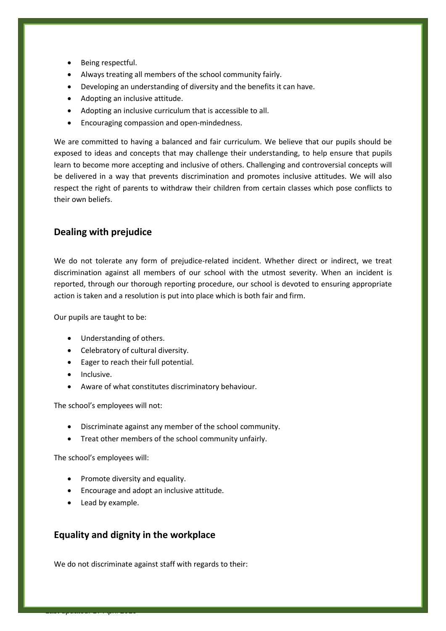- Being respectful.
- Always treating all members of the school community fairly.
- Developing an understanding of diversity and the benefits it can have.
- Adopting an inclusive attitude.
- Adopting an inclusive curriculum that is accessible to all.
- **•** Encouraging compassion and open-mindedness.

We are committed to having a balanced and fair curriculum. We believe that our pupils should be exposed to ideas and concepts that may challenge their understanding, to help ensure that pupils learn to become more accepting and inclusive of others. Challenging and controversial concepts will be delivered in a way that prevents discrimination and promotes inclusive attitudes. We will also respect the right of parents to withdraw their children from certain classes which pose conflicts to their own beliefs.

## **Dealing with prejudice**

We do not tolerate any form of prejudice-related incident. Whether direct or indirect, we treat discrimination against all members of our school with the utmost severity. When an incident is reported, through our thorough reporting procedure, our school is devoted to ensuring appropriate action is taken and a resolution is put into place which is both fair and firm.

Our pupils are taught to be:

- Understanding of others.
- Celebratory of cultural diversity.
- Eager to reach their full potential.
- Inclusive.
- Aware of what constitutes discriminatory behaviour.

The school's employees will not:

- Discriminate against any member of the school community.
- Treat other members of the school community unfairly.

The school's employees will:

- Promote diversity and equality.
- Encourage and adopt an inclusive attitude.
- Lead by example.

Last updated: 17 April 2019

#### **Equality and dignity in the workplace**

We do not discriminate against staff with regards to their: